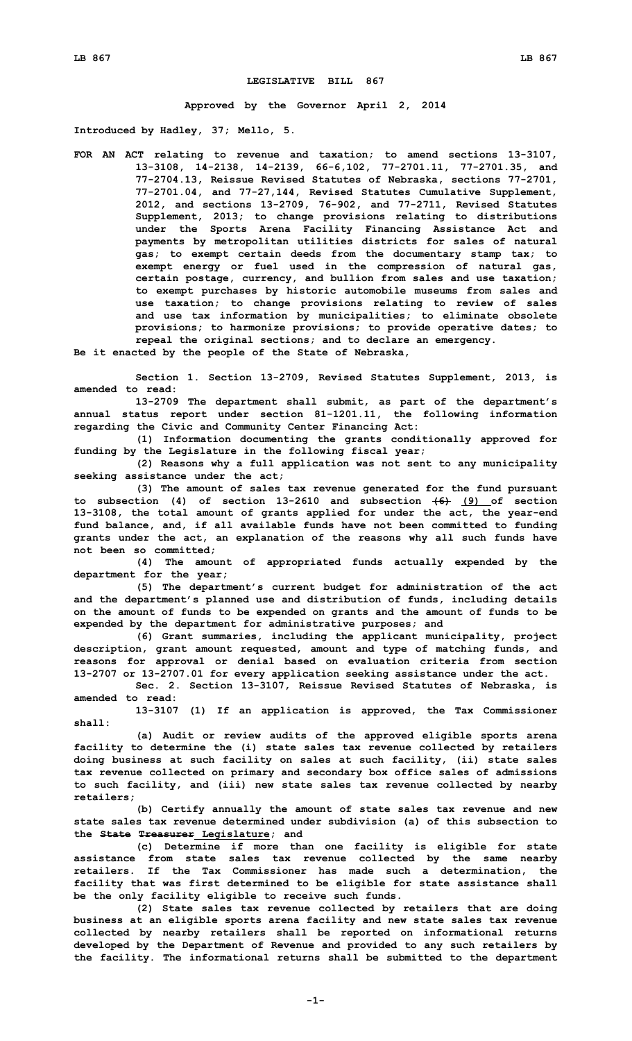## **LEGISLATIVE BILL 867**

**Approved by the Governor April 2, 2014**

**Introduced by Hadley, 37; Mello, 5.**

**FOR AN ACT relating to revenue and taxation; to amend sections 13-3107, 13-3108, 14-2138, 14-2139, 66-6,102, 77-2701.11, 77-2701.35, and 77-2704.13, Reissue Revised Statutes of Nebraska, sections 77-2701, 77-2701.04, and 77-27,144, Revised Statutes Cumulative Supplement, 2012, and sections 13-2709, 76-902, and 77-2711, Revised Statutes Supplement, 2013; to change provisions relating to distributions under the Sports Arena Facility Financing Assistance Act and payments by metropolitan utilities districts for sales of natural gas; to exempt certain deeds from the documentary stamp tax; to exempt energy or fuel used in the compression of natural gas, certain postage, currency, and bullion from sales and use taxation; to exempt purchases by historic automobile museums from sales and use taxation; to change provisions relating to review of sales and use tax information by municipalities; to eliminate obsolete provisions; to harmonize provisions; to provide operative dates; to repeal the original sections; and to declare an emergency.**

**Be it enacted by the people of the State of Nebraska,**

**Section 1. Section 13-2709, Revised Statutes Supplement, 2013, is amended to read:**

**13-2709 The department shall submit, as part of the department's annual status report under section 81-1201.11, the following information regarding the Civic and Community Center Financing Act:**

**(1) Information documenting the grants conditionally approved for funding by the Legislature in the following fiscal year;**

**(2) Reasons why <sup>a</sup> full application was not sent to any municipality seeking assistance under the act;**

**(3) The amount of sales tax revenue generated for the fund pursuant to subsection (4) of section 13-2610 and subsection (6) (9) of section 13-3108, the total amount of grants applied for under the act, the year-end fund balance, and, if all available funds have not been committed to funding grants under the act, an explanation of the reasons why all such funds have not been so committed;**

**(4) The amount of appropriated funds actually expended by the department for the year;**

**(5) The department's current budget for administration of the act and the department's planned use and distribution of funds, including details on the amount of funds to be expended on grants and the amount of funds to be expended by the department for administrative purposes; and**

**(6) Grant summaries, including the applicant municipality, project description, grant amount requested, amount and type of matching funds, and reasons for approval or denial based on evaluation criteria from section 13-2707 or 13-2707.01 for every application seeking assistance under the act.**

**Sec. 2. Section 13-3107, Reissue Revised Statutes of Nebraska, is amended to read:**

**13-3107 (1) If an application is approved, the Tax Commissioner shall:**

**(a) Audit or review audits of the approved eligible sports arena facility to determine the (i) state sales tax revenue collected by retailers doing business at such facility on sales at such facility, (ii) state sales tax revenue collected on primary and secondary box office sales of admissions to such facility, and (iii) new state sales tax revenue collected by nearby retailers;**

**(b) Certify annually the amount of state sales tax revenue and new state sales tax revenue determined under subdivision (a) of this subsection to the State Treasurer Legislature; and**

**(c) Determine if more than one facility is eligible for state assistance from state sales tax revenue collected by the same nearby retailers. If the Tax Commissioner has made such <sup>a</sup> determination, the facility that was first determined to be eligible for state assistance shall be the only facility eligible to receive such funds.**

**(2) State sales tax revenue collected by retailers that are doing business at an eligible sports arena facility and new state sales tax revenue collected by nearby retailers shall be reported on informational returns developed by the Department of Revenue and provided to any such retailers by the facility. The informational returns shall be submitted to the department**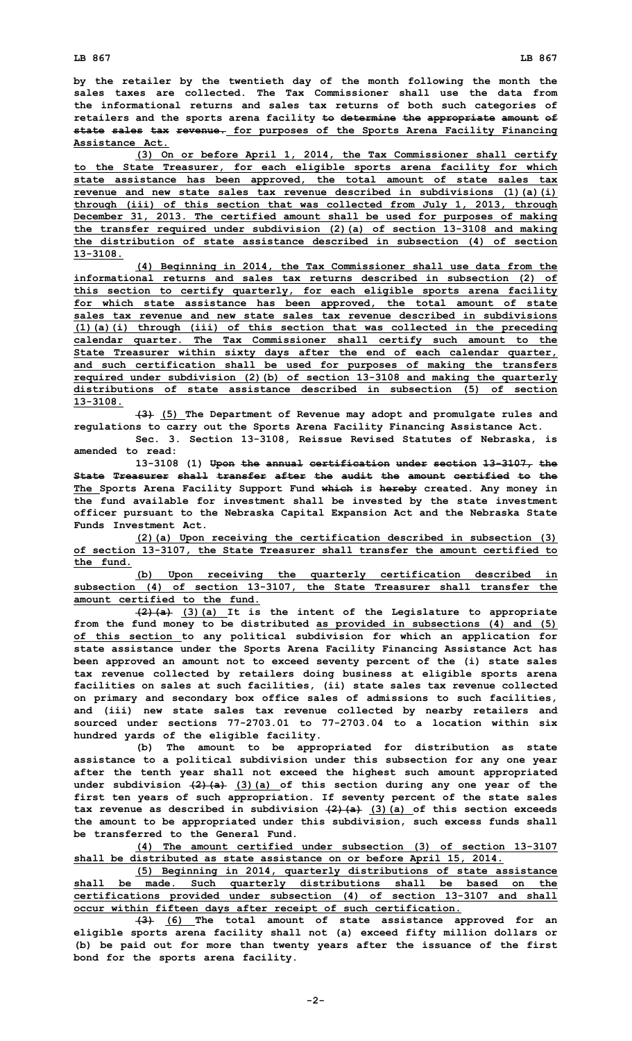**by the retailer by the twentieth day of the month following the month the sales taxes are collected. The Tax Commissioner shall use the data from the informational returns and sales tax returns of both such categories of retailers and the sports arena facility to determine the appropriate amount of state sales tax revenue. for purposes of the Sports Arena Facility Financing Assistance Act.**

**(3) On or before April 1, 2014, the Tax Commissioner shall certify to the State Treasurer, for each eligible sports arena facility for which state assistance has been approved, the total amount of state sales tax revenue and new state sales tax revenue described in subdivisions (1)(a)(i) through (iii) of this section that was collected from July 1, 2013, through December 31, 2013. The certified amount shall be used for purposes of making the transfer required under subdivision (2)(a) of section 13-3108 and making the distribution of state assistance described in subsection (4) of section 13-3108.**

**(4) Beginning in 2014, the Tax Commissioner shall use data from the informational returns and sales tax returns described in subsection (2) of this section to certify quarterly, for each eligible sports arena facility for which state assistance has been approved, the total amount of state sales tax revenue and new state sales tax revenue described in subdivisions (1)(a)(i) through (iii) of this section that was collected in the preceding calendar quarter. The Tax Commissioner shall certify such amount to the State Treasurer within sixty days after the end of each calendar quarter, and such certification shall be used for purposes of making the transfers required under subdivision (2)(b) of section 13-3108 and making the quarterly distributions of state assistance described in subsection (5) of section 13-3108.**

**(3) (5) The Department of Revenue may adopt and promulgate rules and regulations to carry out the Sports Arena Facility Financing Assistance Act.**

**Sec. 3. Section 13-3108, Reissue Revised Statutes of Nebraska, is amended to read:**

**13-3108 (1) Upon the annual certification under section 13-3107, the State Treasurer shall transfer after the audit the amount certified to the The Sports Arena Facility Support Fund which is hereby created. Any money in the fund available for investment shall be invested by the state investment officer pursuant to the Nebraska Capital Expansion Act and the Nebraska State Funds Investment Act.**

**(2)(a) Upon receiving the certification described in subsection (3) of section 13-3107, the State Treasurer shall transfer the amount certified to the fund.**

**(b) Upon receiving the quarterly certification described in subsection (4) of section 13-3107, the State Treasurer shall transfer the amount certified to the fund.**

**(2)(a) (3)(a) It is the intent of the Legislature to appropriate from the fund money to be distributed as provided in subsections (4) and (5) of this section to any political subdivision for which an application for state assistance under the Sports Arena Facility Financing Assistance Act has been approved an amount not to exceed seventy percent of the (i) state sales tax revenue collected by retailers doing business at eligible sports arena facilities on sales at such facilities, (ii) state sales tax revenue collected on primary and secondary box office sales of admissions to such facilities, and (iii) new state sales tax revenue collected by nearby retailers and sourced under sections 77-2703.01 to 77-2703.04 to a location within six hundred yards of the eligible facility.**

**(b) The amount to be appropriated for distribution as state assistance to <sup>a</sup> political subdivision under this subsection for any one year after the tenth year shall not exceed the highest such amount appropriated under subdivision (2)(a) (3)(a) of this section during any one year of the first ten years of such appropriation. If seventy percent of the state sales tax revenue as described in subdivision (2)(a) (3)(a) of this section exceeds the amount to be appropriated under this subdivision, such excess funds shall be transferred to the General Fund.**

**(4) The amount certified under subsection (3) of section 13-3107 shall be distributed as state assistance on or before April 15, 2014.**

**(5) Beginning in 2014, quarterly distributions of state assistance shall be made. Such quarterly distributions shall be based on the certifications provided under subsection (4) of section 13-3107 and shall occur within fifteen days after receipt of such certification.**

**(3) (6) The total amount of state assistance approved for an eligible sports arena facility shall not (a) exceed fifty million dollars or (b) be paid out for more than twenty years after the issuance of the first bond for the sports arena facility.**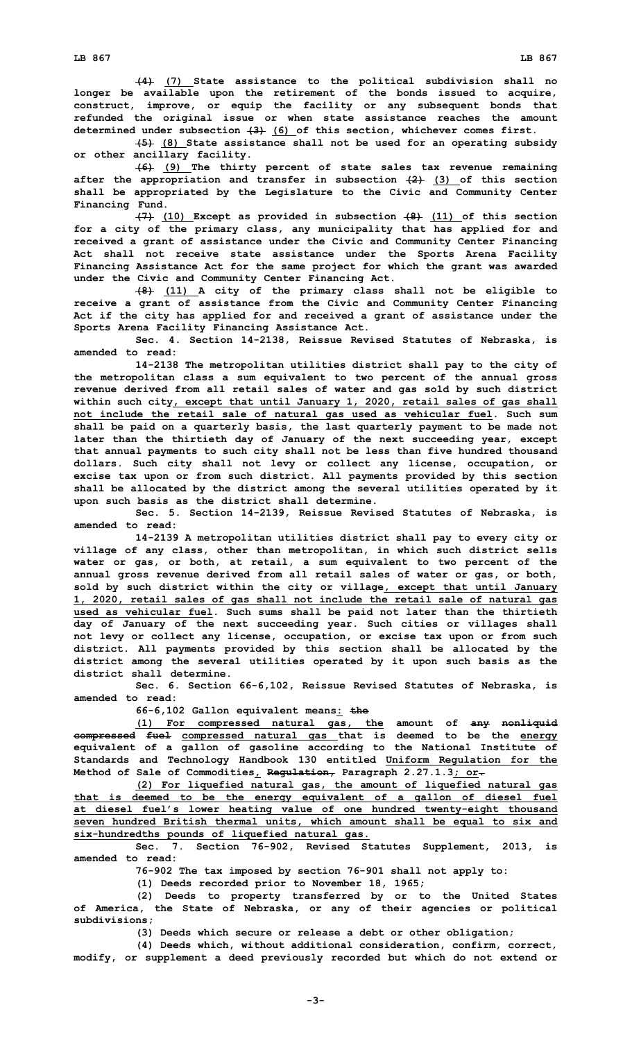**(4) (7) State assistance to the political subdivision shall no longer be available upon the retirement of the bonds issued to acquire, construct, improve, or equip the facility or any subsequent bonds that refunded the original issue or when state assistance reaches the amount determined under subsection (3) (6) of this section, whichever comes first.**

**(5) (8) State assistance shall not be used for an operating subsidy or other ancillary facility.**

**(6) (9) The thirty percent of state sales tax revenue remaining after the appropriation and transfer in subsection (2) (3) of this section shall be appropriated by the Legislature to the Civic and Community Center Financing Fund.**

**(7) (10) Except as provided in subsection (8) (11) of this section for <sup>a</sup> city of the primary class, any municipality that has applied for and received <sup>a</sup> grant of assistance under the Civic and Community Center Financing Act shall not receive state assistance under the Sports Arena Facility Financing Assistance Act for the same project for which the grant was awarded under the Civic and Community Center Financing Act.**

**(8) (11) <sup>A</sup> city of the primary class shall not be eligible to receive <sup>a</sup> grant of assistance from the Civic and Community Center Financing Act if the city has applied for and received <sup>a</sup> grant of assistance under the Sports Arena Facility Financing Assistance Act.**

**Sec. 4. Section 14-2138, Reissue Revised Statutes of Nebraska, is amended to read:**

**14-2138 The metropolitan utilities district shall pay to the city of the metropolitan class <sup>a</sup> sum equivalent to two percent of the annual gross revenue derived from all retail sales of water and gas sold by such district within such city, except that until January 1, 2020, retail sales of gas shall not include the retail sale of natural gas used as vehicular fuel. Such sum shall be paid on <sup>a</sup> quarterly basis, the last quarterly payment to be made not later than the thirtieth day of January of the next succeeding year, except that annual payments to such city shall not be less than five hundred thousand dollars. Such city shall not levy or collect any license, occupation, or excise tax upon or from such district. All payments provided by this section shall be allocated by the district among the several utilities operated by it upon such basis as the district shall determine.**

**Sec. 5. Section 14-2139, Reissue Revised Statutes of Nebraska, is amended to read:**

**14-2139 <sup>A</sup> metropolitan utilities district shall pay to every city or village of any class, other than metropolitan, in which such district sells water or gas, or both, at retail, <sup>a</sup> sum equivalent to two percent of the annual gross revenue derived from all retail sales of water or gas, or both, sold by such district within the city or village, except that until January 1, 2020, retail sales of gas shall not include the retail sale of natural gas used as vehicular fuel. Such sums shall be paid not later than the thirtieth day of January of the next succeeding year. Such cities or villages shall not levy or collect any license, occupation, or excise tax upon or from such district. All payments provided by this section shall be allocated by the district among the several utilities operated by it upon such basis as the district shall determine.**

**Sec. 6. Section 66-6,102, Reissue Revised Statutes of Nebraska, is amended to read:**

**66-6,102 Gallon equivalent means: the**

**(1) For compressed natural gas, the amount of any nonliquid compressed fuel compressed natural gas that is deemed to be the energy equivalent of <sup>a</sup> gallon of gasoline according to the National Institute of Standards and Technology Handbook 130 entitled Uniform Regulation for the Method of Sale of Commodities, Regulation, Paragraph 2.27.1.3; or.**

**(2) For liquefied natural gas, the amount of liquefied natural gas that is deemed to be the energy equivalent of <sup>a</sup> gallon of diesel fuel at diesel fuel's lower heating value of one hundred twenty-eight thousand seven hundred British thermal units, which amount shall be equal to six and six-hundredths pounds of liquefied natural gas.**

**Sec. 7. Section 76-902, Revised Statutes Supplement, 2013, is amended to read:**

**76-902 The tax imposed by section 76-901 shall not apply to:**

**(1) Deeds recorded prior to November 18, 1965;**

**(2) Deeds to property transferred by or to the United States of America, the State of Nebraska, or any of their agencies or political subdivisions;**

**(3) Deeds which secure or release <sup>a</sup> debt or other obligation;**

**(4) Deeds which, without additional consideration, confirm, correct, modify, or supplement <sup>a</sup> deed previously recorded but which do not extend or**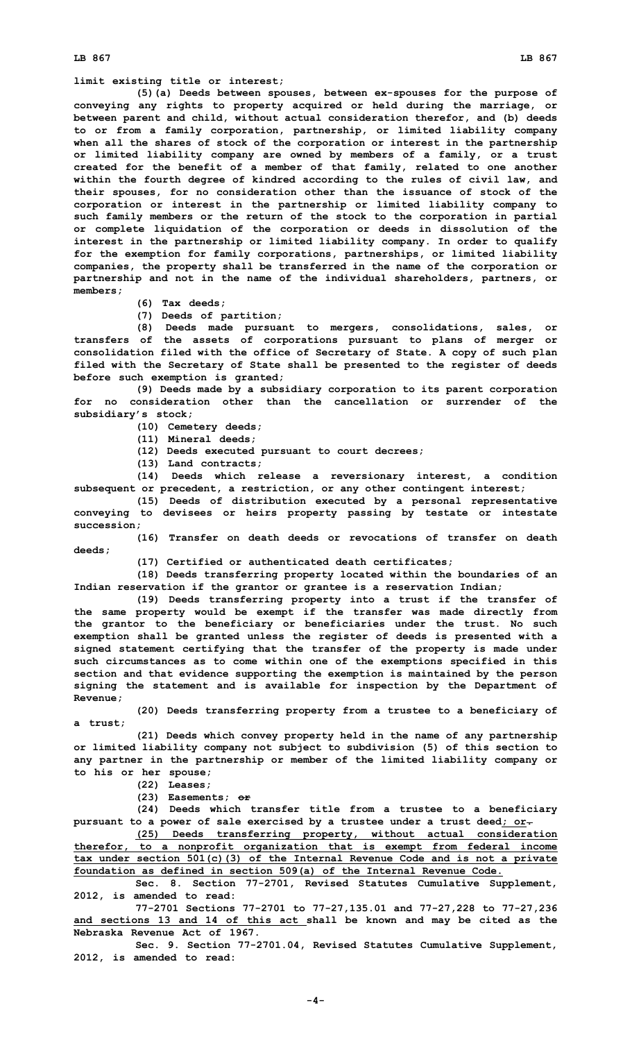## **LB 867 LB 867**

## **limit existing title or interest;**

**(5)(a) Deeds between spouses, between ex-spouses for the purpose of conveying any rights to property acquired or held during the marriage, or between parent and child, without actual consideration therefor, and (b) deeds to or from <sup>a</sup> family corporation, partnership, or limited liability company when all the shares of stock of the corporation or interest in the partnership or limited liability company are owned by members of <sup>a</sup> family, or <sup>a</sup> trust created for the benefit of <sup>a</sup> member of that family, related to one another within the fourth degree of kindred according to the rules of civil law, and their spouses, for no consideration other than the issuance of stock of the corporation or interest in the partnership or limited liability company to such family members or the return of the stock to the corporation in partial or complete liquidation of the corporation or deeds in dissolution of the interest in the partnership or limited liability company. In order to qualify for the exemption for family corporations, partnerships, or limited liability companies, the property shall be transferred in the name of the corporation or partnership and not in the name of the individual shareholders, partners, or members;**

**(6) Tax deeds;**

**(7) Deeds of partition;**

**(8) Deeds made pursuant to mergers, consolidations, sales, or transfers of the assets of corporations pursuant to plans of merger or consolidation filed with the office of Secretary of State. A copy of such plan filed with the Secretary of State shall be presented to the register of deeds before such exemption is granted;**

**(9) Deeds made by <sup>a</sup> subsidiary corporation to its parent corporation for no consideration other than the cancellation or surrender of the subsidiary's stock;**

- **(10) Cemetery deeds;**
- **(11) Mineral deeds;**
- **(12) Deeds executed pursuant to court decrees;**
- **(13) Land contracts;**

**(14) Deeds which release <sup>a</sup> reversionary interest, <sup>a</sup> condition subsequent or precedent, <sup>a</sup> restriction, or any other contingent interest;**

**(15) Deeds of distribution executed by <sup>a</sup> personal representative conveying to devisees or heirs property passing by testate or intestate succession;**

**(16) Transfer on death deeds or revocations of transfer on death deeds;**

**(17) Certified or authenticated death certificates;**

**(18) Deeds transferring property located within the boundaries of an Indian reservation if the grantor or grantee is <sup>a</sup> reservation Indian;**

**(19) Deeds transferring property into <sup>a</sup> trust if the transfer of the same property would be exempt if the transfer was made directly from the grantor to the beneficiary or beneficiaries under the trust. No such exemption shall be granted unless the register of deeds is presented with <sup>a</sup> signed statement certifying that the transfer of the property is made under such circumstances as to come within one of the exemptions specified in this section and that evidence supporting the exemption is maintained by the person signing the statement and is available for inspection by the Department of Revenue;**

**(20) Deeds transferring property from <sup>a</sup> trustee to <sup>a</sup> beneficiary of <sup>a</sup> trust;**

**(21) Deeds which convey property held in the name of any partnership or limited liability company not subject to subdivision (5) of this section to any partner in the partnership or member of the limited liability company or to his or her spouse;**

**(22) Leases;**

**(23) Easements; or**

**(24) Deeds which transfer title from <sup>a</sup> trustee to <sup>a</sup> beneficiary pursuant to <sup>a</sup> power of sale exercised by <sup>a</sup> trustee under <sup>a</sup> trust deed; or.**

**(25) Deeds transferring property, without actual consideration therefor, to <sup>a</sup> nonprofit organization that is exempt from federal income tax under section 501(c)(3) of the Internal Revenue Code and is not <sup>a</sup> private foundation as defined in section 509(a) of the Internal Revenue Code.**

**Sec. 8. Section 77-2701, Revised Statutes Cumulative Supplement, 2012, is amended to read:**

**77-2701 Sections 77-2701 to 77-27,135.01 and 77-27,228 to 77-27,236 and sections 13 and 14 of this act shall be known and may be cited as the Nebraska Revenue Act of 1967.**

**Sec. 9. Section 77-2701.04, Revised Statutes Cumulative Supplement, 2012, is amended to read:**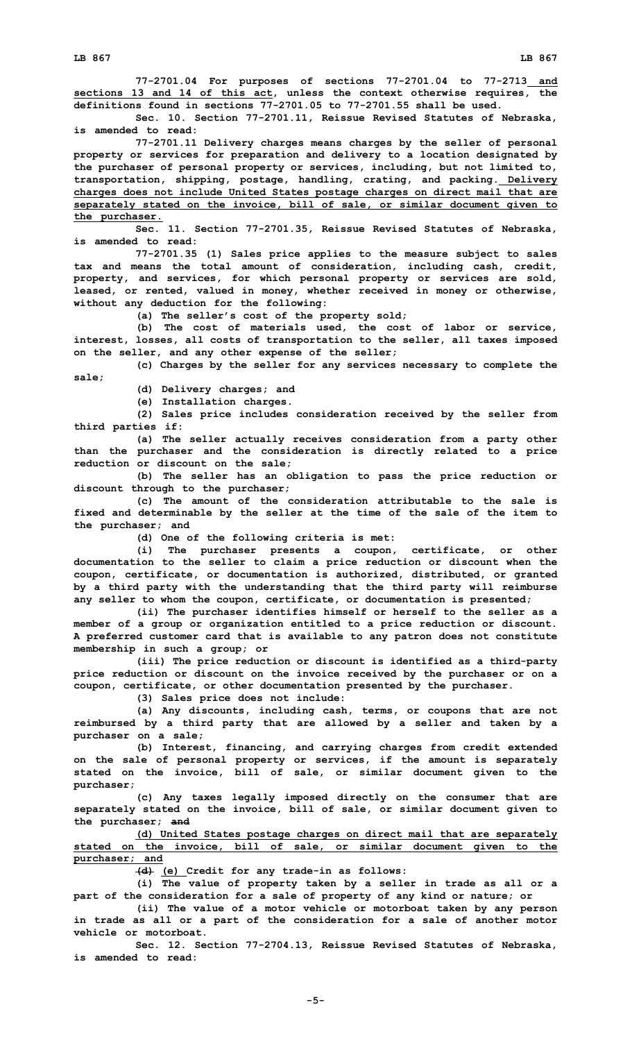**77-2701.04 For purposes of sections 77-2701.04 to 77-2713 and sections 13 and 14 of this act, unless the context otherwise requires, the definitions found in sections 77-2701.05 to 77-2701.55 shall be used.**

**Sec. 10. Section 77-2701.11, Reissue Revised Statutes of Nebraska, is amended to read:**

**77-2701.11 Delivery charges means charges by the seller of personal property or services for preparation and delivery to <sup>a</sup> location designated by the purchaser of personal property or services, including, but not limited to, transportation, shipping, postage, handling, crating, and packing. Delivery charges does not include United States postage charges on direct mail that are separately stated on the invoice, bill of sale, or similar document given to the purchaser.**

**Sec. 11. Section 77-2701.35, Reissue Revised Statutes of Nebraska, is amended to read:**

**77-2701.35 (1) Sales price applies to the measure subject to sales tax and means the total amount of consideration, including cash, credit, property, and services, for which personal property or services are sold, leased, or rented, valued in money, whether received in money or otherwise, without any deduction for the following:**

**(a) The seller's cost of the property sold;**

**(b) The cost of materials used, the cost of labor or service, interest, losses, all costs of transportation to the seller, all taxes imposed on the seller, and any other expense of the seller;**

**(c) Charges by the seller for any services necessary to complete the sale;**

**(d) Delivery charges; and**

**(e) Installation charges.**

**(2) Sales price includes consideration received by the seller from third parties if:**

**(a) The seller actually receives consideration from <sup>a</sup> party other than the purchaser and the consideration is directly related to <sup>a</sup> price reduction or discount on the sale;**

**(b) The seller has an obligation to pass the price reduction or discount through to the purchaser;**

**(c) The amount of the consideration attributable to the sale is fixed and determinable by the seller at the time of the sale of the item to the purchaser; and**

**(d) One of the following criteria is met:**

**(i) The purchaser presents <sup>a</sup> coupon, certificate, or other documentation to the seller to claim <sup>a</sup> price reduction or discount when the coupon, certificate, or documentation is authorized, distributed, or granted by <sup>a</sup> third party with the understanding that the third party will reimburse any seller to whom the coupon, certificate, or documentation is presented;**

**(ii) The purchaser identifies himself or herself to the seller as <sup>a</sup> member of <sup>a</sup> group or organization entitled to <sup>a</sup> price reduction or discount. A preferred customer card that is available to any patron does not constitute membership in such <sup>a</sup> group; or**

**(iii) The price reduction or discount is identified as <sup>a</sup> third-party price reduction or discount on the invoice received by the purchaser or on <sup>a</sup> coupon, certificate, or other documentation presented by the purchaser.**

**(3) Sales price does not include:**

**(a) Any discounts, including cash, terms, or coupons that are not reimbursed by <sup>a</sup> third party that are allowed by <sup>a</sup> seller and taken by <sup>a</sup> purchaser on <sup>a</sup> sale;**

**(b) Interest, financing, and carrying charges from credit extended on the sale of personal property or services, if the amount is separately stated on the invoice, bill of sale, or similar document given to the purchaser;**

**(c) Any taxes legally imposed directly on the consumer that are separately stated on the invoice, bill of sale, or similar document given to the purchaser; and**

**(d) United States postage charges on direct mail that are separately stated on the invoice, bill of sale, or similar document given to the purchaser; and**

**(d) (e) Credit for any trade-in as follows:**

**(i) The value of property taken by <sup>a</sup> seller in trade as all or <sup>a</sup> part of the consideration for <sup>a</sup> sale of property of any kind or nature; or**

**(ii) The value of <sup>a</sup> motor vehicle or motorboat taken by any person in trade as all or <sup>a</sup> part of the consideration for <sup>a</sup> sale of another motor vehicle or motorboat.**

**Sec. 12. Section 77-2704.13, Reissue Revised Statutes of Nebraska, is amended to read:**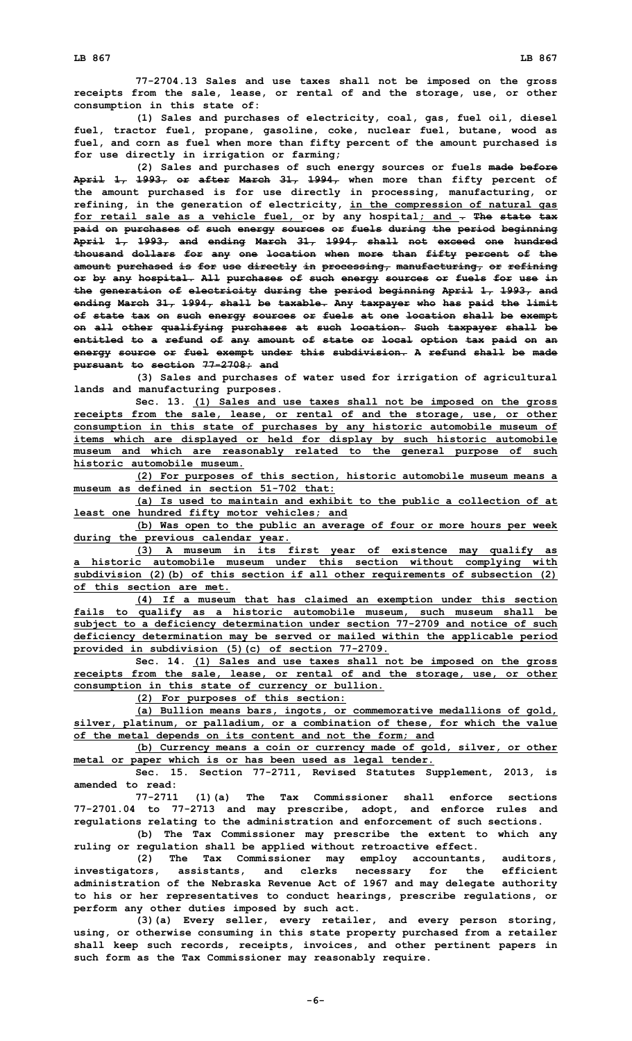**77-2704.13 Sales and use taxes shall not be imposed on the gross receipts from the sale, lease, or rental of and the storage, use, or other consumption in this state of:**

**(1) Sales and purchases of electricity, coal, gas, fuel oil, diesel fuel, tractor fuel, propane, gasoline, coke, nuclear fuel, butane, wood as fuel, and corn as fuel when more than fifty percent of the amount purchased is for use directly in irrigation or farming;**

**(2) Sales and purchases of such energy sources or fuels made before April 1, 1993, or after March 31, 1994, when more than fifty percent of the amount purchased is for use directly in processing, manufacturing, or refining, in the generation of electricity, in the compression of natural gas for retail sale as <sup>a</sup> vehicle fuel, or by any hospital; and . The state tax paid on purchases of such energy sources or fuels during the period beginning April 1, 1993, and ending March 31, 1994, shall not exceed one hundred thousand dollars for any one location when more than fifty percent of the amount purchased is for use directly in processing, manufacturing, or refining or by any hospital. All purchases of such energy sources or fuels for use in the generation of electricity during the period beginning April 1, 1993, and ending March 31, 1994, shall be taxable. Any taxpayer who has paid the limit of state tax on such energy sources or fuels at one location shall be exempt on all other qualifying purchases at such location. Such taxpayer shall be entitled to <sup>a</sup> refund of any amount of state or local option tax paid on an energy source or fuel exempt under this subdivision. A refund shall be made pursuant to section 77-2708; and**

**(3) Sales and purchases of water used for irrigation of agricultural lands and manufacturing purposes.**

**Sec. 13. (1) Sales and use taxes shall not be imposed on the gross receipts from the sale, lease, or rental of and the storage, use, or other consumption in this state of purchases by any historic automobile museum of items which are displayed or held for display by such historic automobile museum and which are reasonably related to the general purpose of such historic automobile museum.**

**(2) For purposes of this section, historic automobile museum means <sup>a</sup> museum as defined in section 51-702 that:**

**(a) Is used to maintain and exhibit to the public <sup>a</sup> collection of at least one hundred fifty motor vehicles; and**

**(b) Was open to the public an average of four or more hours per week during the previous calendar year.**

**(3) <sup>A</sup> museum in its first year of existence may qualify as <sup>a</sup> historic automobile museum under this section without complying with subdivision (2)(b) of this section if all other requirements of subsection (2) of this section are met.**

**(4) If <sup>a</sup> museum that has claimed an exemption under this section fails to qualify as <sup>a</sup> historic automobile museum, such museum shall be subject to <sup>a</sup> deficiency determination under section 77-2709 and notice of such deficiency determination may be served or mailed within the applicable period provided in subdivision (5)(c) of section 77-2709.**

**Sec. 14. (1) Sales and use taxes shall not be imposed on the gross receipts from the sale, lease, or rental of and the storage, use, or other consumption in this state of currency or bullion.**

**(2) For purposes of this section:**

**(a) Bullion means bars, ingots, or commemorative medallions of gold, silver, platinum, or palladium, or <sup>a</sup> combination of these, for which the value of the metal depends on its content and not the form; and**

**(b) Currency means <sup>a</sup> coin or currency made of gold, silver, or other metal or paper which is or has been used as legal tender.**

**Sec. 15. Section 77-2711, Revised Statutes Supplement, 2013, is amended to read:**

**77-2711 (1)(a) The Tax Commissioner shall enforce sections 77-2701.04 to 77-2713 and may prescribe, adopt, and enforce rules and regulations relating to the administration and enforcement of such sections.**

**(b) The Tax Commissioner may prescribe the extent to which any ruling or regulation shall be applied without retroactive effect.**

**(2) The Tax Commissioner may employ accountants, auditors, investigators, assistants, and clerks necessary for the efficient administration of the Nebraska Revenue Act of 1967 and may delegate authority to his or her representatives to conduct hearings, prescribe regulations, or perform any other duties imposed by such act.**

**(3)(a) Every seller, every retailer, and every person storing, using, or otherwise consuming in this state property purchased from <sup>a</sup> retailer shall keep such records, receipts, invoices, and other pertinent papers in such form as the Tax Commissioner may reasonably require.**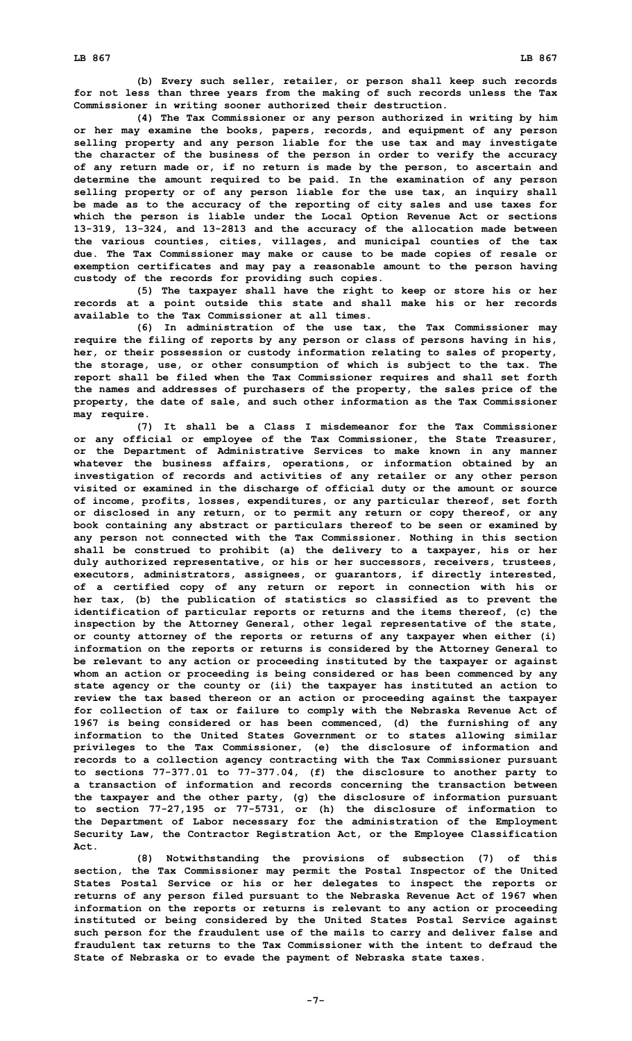**(b) Every such seller, retailer, or person shall keep such records for not less than three years from the making of such records unless the Tax Commissioner in writing sooner authorized their destruction.**

**(4) The Tax Commissioner or any person authorized in writing by him or her may examine the books, papers, records, and equipment of any person selling property and any person liable for the use tax and may investigate the character of the business of the person in order to verify the accuracy of any return made or, if no return is made by the person, to ascertain and determine the amount required to be paid. In the examination of any person selling property or of any person liable for the use tax, an inquiry shall be made as to the accuracy of the reporting of city sales and use taxes for which the person is liable under the Local Option Revenue Act or sections 13-319, 13-324, and 13-2813 and the accuracy of the allocation made between the various counties, cities, villages, and municipal counties of the tax due. The Tax Commissioner may make or cause to be made copies of resale or exemption certificates and may pay <sup>a</sup> reasonable amount to the person having custody of the records for providing such copies.**

**(5) The taxpayer shall have the right to keep or store his or her records at <sup>a</sup> point outside this state and shall make his or her records available to the Tax Commissioner at all times.**

**(6) In administration of the use tax, the Tax Commissioner may require the filing of reports by any person or class of persons having in his, her, or their possession or custody information relating to sales of property, the storage, use, or other consumption of which is subject to the tax. The report shall be filed when the Tax Commissioner requires and shall set forth the names and addresses of purchasers of the property, the sales price of the property, the date of sale, and such other information as the Tax Commissioner may require.**

**(7) It shall be <sup>a</sup> Class I misdemeanor for the Tax Commissioner or any official or employee of the Tax Commissioner, the State Treasurer, or the Department of Administrative Services to make known in any manner whatever the business affairs, operations, or information obtained by an investigation of records and activities of any retailer or any other person visited or examined in the discharge of official duty or the amount or source of income, profits, losses, expenditures, or any particular thereof, set forth or disclosed in any return, or to permit any return or copy thereof, or any book containing any abstract or particulars thereof to be seen or examined by any person not connected with the Tax Commissioner. Nothing in this section shall be construed to prohibit (a) the delivery to <sup>a</sup> taxpayer, his or her duly authorized representative, or his or her successors, receivers, trustees, executors, administrators, assignees, or guarantors, if directly interested, of <sup>a</sup> certified copy of any return or report in connection with his or her tax, (b) the publication of statistics so classified as to prevent the identification of particular reports or returns and the items thereof, (c) the inspection by the Attorney General, other legal representative of the state, or county attorney of the reports or returns of any taxpayer when either (i) information on the reports or returns is considered by the Attorney General to be relevant to any action or proceeding instituted by the taxpayer or against whom an action or proceeding is being considered or has been commenced by any state agency or the county or (ii) the taxpayer has instituted an action to review the tax based thereon or an action or proceeding against the taxpayer for collection of tax or failure to comply with the Nebraska Revenue Act of 1967 is being considered or has been commenced, (d) the furnishing of any information to the United States Government or to states allowing similar privileges to the Tax Commissioner, (e) the disclosure of information and records to <sup>a</sup> collection agency contracting with the Tax Commissioner pursuant to sections 77-377.01 to 77-377.04, (f) the disclosure to another party to <sup>a</sup> transaction of information and records concerning the transaction between the taxpayer and the other party, (g) the disclosure of information pursuant to section 77-27,195 or 77-5731, or (h) the disclosure of information to the Department of Labor necessary for the administration of the Employment Security Law, the Contractor Registration Act, or the Employee Classification Act.**

**(8) Notwithstanding the provisions of subsection (7) of this section, the Tax Commissioner may permit the Postal Inspector of the United States Postal Service or his or her delegates to inspect the reports or returns of any person filed pursuant to the Nebraska Revenue Act of 1967 when information on the reports or returns is relevant to any action or proceeding instituted or being considered by the United States Postal Service against such person for the fraudulent use of the mails to carry and deliver false and fraudulent tax returns to the Tax Commissioner with the intent to defraud the State of Nebraska or to evade the payment of Nebraska state taxes.**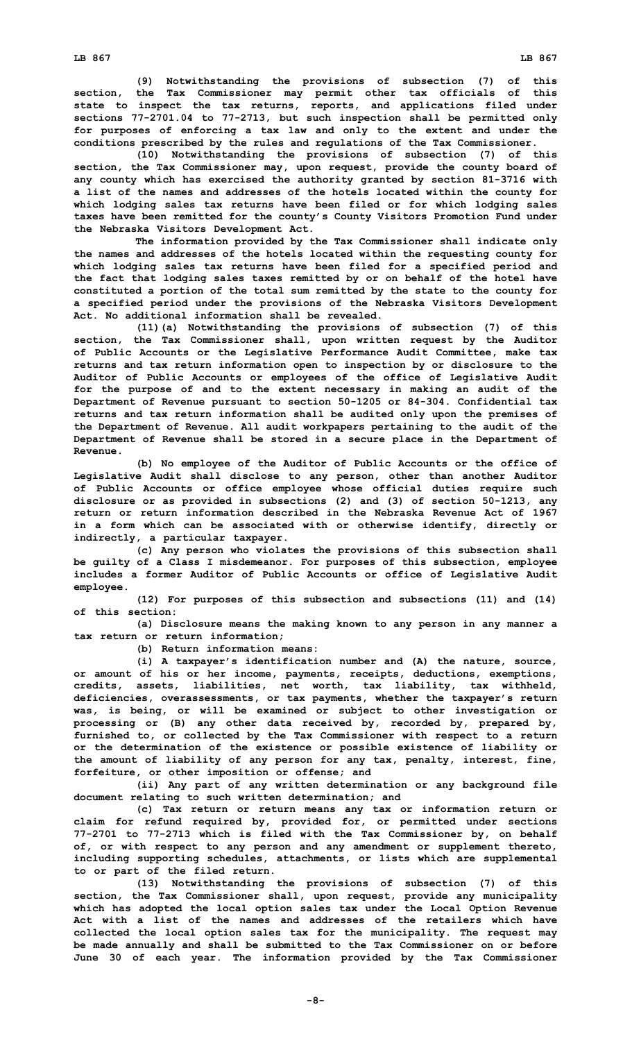**(9) Notwithstanding the provisions of subsection (7) of this section, the Tax Commissioner may permit other tax officials of this state to inspect the tax returns, reports, and applications filed under sections 77-2701.04 to 77-2713, but such inspection shall be permitted only for purposes of enforcing <sup>a</sup> tax law and only to the extent and under the conditions prescribed by the rules and regulations of the Tax Commissioner.**

**(10) Notwithstanding the provisions of subsection (7) of this section, the Tax Commissioner may, upon request, provide the county board of any county which has exercised the authority granted by section 81-3716 with <sup>a</sup> list of the names and addresses of the hotels located within the county for which lodging sales tax returns have been filed or for which lodging sales taxes have been remitted for the county's County Visitors Promotion Fund under the Nebraska Visitors Development Act.**

**The information provided by the Tax Commissioner shall indicate only the names and addresses of the hotels located within the requesting county for which lodging sales tax returns have been filed for <sup>a</sup> specified period and the fact that lodging sales taxes remitted by or on behalf of the hotel have constituted <sup>a</sup> portion of the total sum remitted by the state to the county for <sup>a</sup> specified period under the provisions of the Nebraska Visitors Development Act. No additional information shall be revealed.**

**(11)(a) Notwithstanding the provisions of subsection (7) of this section, the Tax Commissioner shall, upon written request by the Auditor of Public Accounts or the Legislative Performance Audit Committee, make tax returns and tax return information open to inspection by or disclosure to the Auditor of Public Accounts or employees of the office of Legislative Audit for the purpose of and to the extent necessary in making an audit of the Department of Revenue pursuant to section 50-1205 or 84-304. Confidential tax returns and tax return information shall be audited only upon the premises of the Department of Revenue. All audit workpapers pertaining to the audit of the Department of Revenue shall be stored in <sup>a</sup> secure place in the Department of Revenue.**

**(b) No employee of the Auditor of Public Accounts or the office of Legislative Audit shall disclose to any person, other than another Auditor of Public Accounts or office employee whose official duties require such disclosure or as provided in subsections (2) and (3) of section 50-1213, any return or return information described in the Nebraska Revenue Act of 1967 in <sup>a</sup> form which can be associated with or otherwise identify, directly or indirectly, <sup>a</sup> particular taxpayer.**

**(c) Any person who violates the provisions of this subsection shall be guilty of <sup>a</sup> Class I misdemeanor. For purposes of this subsection, employee includes <sup>a</sup> former Auditor of Public Accounts or office of Legislative Audit employee.**

**(12) For purposes of this subsection and subsections (11) and (14) of this section:**

**(a) Disclosure means the making known to any person in any manner <sup>a</sup> tax return or return information;**

**(b) Return information means:**

**(i) <sup>A</sup> taxpayer's identification number and (A) the nature, source, or amount of his or her income, payments, receipts, deductions, exemptions, credits, assets, liabilities, net worth, tax liability, tax withheld, deficiencies, overassessments, or tax payments, whether the taxpayer's return was, is being, or will be examined or subject to other investigation or processing or (B) any other data received by, recorded by, prepared by, furnished to, or collected by the Tax Commissioner with respect to <sup>a</sup> return or the determination of the existence or possible existence of liability or the amount of liability of any person for any tax, penalty, interest, fine, forfeiture, or other imposition or offense; and**

**(ii) Any part of any written determination or any background file document relating to such written determination; and**

**(c) Tax return or return means any tax or information return or claim for refund required by, provided for, or permitted under sections 77-2701 to 77-2713 which is filed with the Tax Commissioner by, on behalf of, or with respect to any person and any amendment or supplement thereto, including supporting schedules, attachments, or lists which are supplemental to or part of the filed return.**

**(13) Notwithstanding the provisions of subsection (7) of this section, the Tax Commissioner shall, upon request, provide any municipality which has adopted the local option sales tax under the Local Option Revenue Act with a list of the names and addresses of the retailers which have collected the local option sales tax for the municipality. The request may be made annually and shall be submitted to the Tax Commissioner on or before June 30 of each year. The information provided by the Tax Commissioner**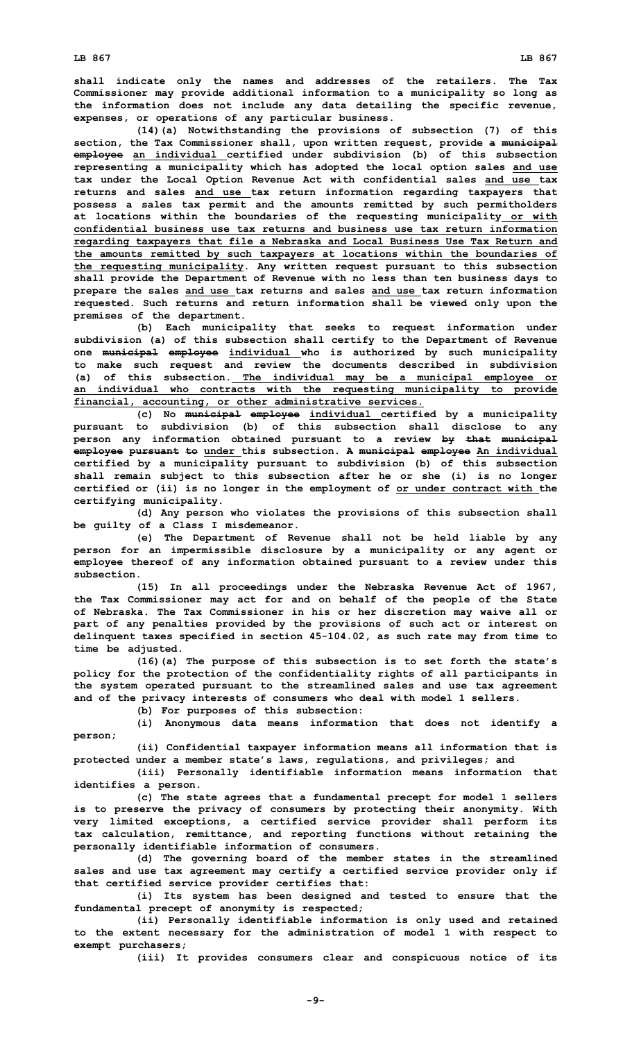**shall indicate only the names and addresses of the retailers. The Tax Commissioner may provide additional information to <sup>a</sup> municipality so long as the information does not include any data detailing the specific revenue, expenses, or operations of any particular business.**

**(14)(a) Notwithstanding the provisions of subsection (7) of this section, the Tax Commissioner shall, upon written request, provide <sup>a</sup> municipal employee an individual certified under subdivision (b) of this subsection representing <sup>a</sup> municipality which has adopted the local option sales and use tax under the Local Option Revenue Act with confidential sales and use tax returns and sales and use tax return information regarding taxpayers that possess <sup>a</sup> sales tax permit and the amounts remitted by such permitholders at locations within the boundaries of the requesting municipality or with confidential business use tax returns and business use tax return information regarding taxpayers that file <sup>a</sup> Nebraska and Local Business Use Tax Return and the amounts remitted by such taxpayers at locations within the boundaries of the requesting municipality. Any written request pursuant to this subsection shall provide the Department of Revenue with no less than ten business days to prepare the sales and use tax returns and sales and use tax return information requested. Such returns and return information shall be viewed only upon the premises of the department.**

**(b) Each municipality that seeks to request information under subdivision (a) of this subsection shall certify to the Department of Revenue one municipal employee individual who is authorized by such municipality to make such request and review the documents described in subdivision (a) of this subsection. The individual may be <sup>a</sup> municipal employee or an individual who contracts with the requesting municipality to provide financial, accounting, or other administrative services.**

**(c) No municipal employee individual certified by <sup>a</sup> municipality pursuant to subdivision (b) of this subsection shall disclose to any person any information obtained pursuant to <sup>a</sup> review by that municipal employee pursuant to under this subsection. A municipal employee An individual certified by <sup>a</sup> municipality pursuant to subdivision (b) of this subsection shall remain subject to this subsection after he or she (i) is no longer certified or (ii) is no longer in the employment of or under contract with the certifying municipality.**

**(d) Any person who violates the provisions of this subsection shall be guilty of <sup>a</sup> Class I misdemeanor.**

**(e) The Department of Revenue shall not be held liable by any person for an impermissible disclosure by <sup>a</sup> municipality or any agent or employee thereof of any information obtained pursuant to <sup>a</sup> review under this subsection.**

**(15) In all proceedings under the Nebraska Revenue Act of 1967, the Tax Commissioner may act for and on behalf of the people of the State of Nebraska. The Tax Commissioner in his or her discretion may waive all or part of any penalties provided by the provisions of such act or interest on delinquent taxes specified in section 45-104.02, as such rate may from time to time be adjusted.**

**(16)(a) The purpose of this subsection is to set forth the state's policy for the protection of the confidentiality rights of all participants in the system operated pursuant to the streamlined sales and use tax agreement and of the privacy interests of consumers who deal with model 1 sellers.**

**(b) For purposes of this subsection:**

**(i) Anonymous data means information that does not identify <sup>a</sup> person;**

**(ii) Confidential taxpayer information means all information that is protected under <sup>a</sup> member state's laws, regulations, and privileges; and**

**(iii) Personally identifiable information means information that identifies <sup>a</sup> person.**

**(c) The state agrees that <sup>a</sup> fundamental precept for model 1 sellers is to preserve the privacy of consumers by protecting their anonymity. With very limited exceptions, <sup>a</sup> certified service provider shall perform its tax calculation, remittance, and reporting functions without retaining the personally identifiable information of consumers.**

**(d) The governing board of the member states in the streamlined sales and use tax agreement may certify <sup>a</sup> certified service provider only if that certified service provider certifies that:**

**(i) Its system has been designed and tested to ensure that the fundamental precept of anonymity is respected;**

**(ii) Personally identifiable information is only used and retained to the extent necessary for the administration of model 1 with respect to exempt purchasers;**

**(iii) It provides consumers clear and conspicuous notice of its**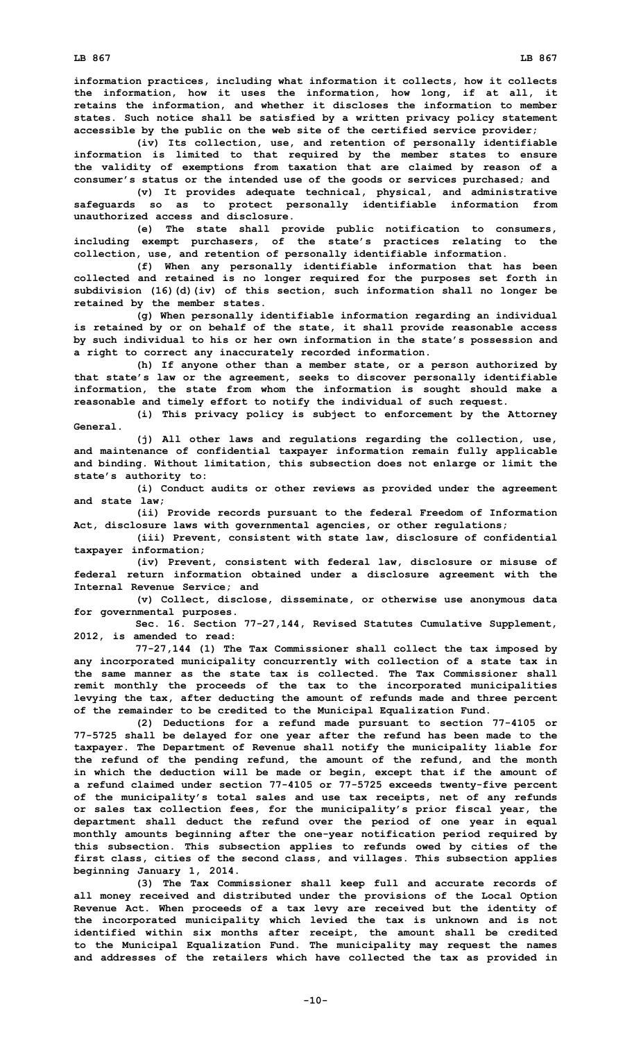**information practices, including what information it collects, how it collects the information, how it uses the information, how long, if at all, it retains the information, and whether it discloses the information to member**

**states. Such notice shall be satisfied by <sup>a</sup> written privacy policy statement accessible by the public on the web site of the certified service provider;**

**(iv) Its collection, use, and retention of personally identifiable information is limited to that required by the member states to ensure the validity of exemptions from taxation that are claimed by reason of <sup>a</sup> consumer's status or the intended use of the goods or services purchased; and**

**(v) It provides adequate technical, physical, and administrative safeguards so as to protect personally identifiable information from unauthorized access and disclosure.**

**(e) The state shall provide public notification to consumers, including exempt purchasers, of the state's practices relating to the collection, use, and retention of personally identifiable information.**

**(f) When any personally identifiable information that has been collected and retained is no longer required for the purposes set forth in subdivision (16)(d)(iv) of this section, such information shall no longer be retained by the member states.**

**(g) When personally identifiable information regarding an individual is retained by or on behalf of the state, it shall provide reasonable access by such individual to his or her own information in the state's possession and <sup>a</sup> right to correct any inaccurately recorded information.**

**(h) If anyone other than <sup>a</sup> member state, or <sup>a</sup> person authorized by that state's law or the agreement, seeks to discover personally identifiable information, the state from whom the information is sought should make <sup>a</sup> reasonable and timely effort to notify the individual of such request.**

**(i) This privacy policy is subject to enforcement by the Attorney General.**

**(j) All other laws and regulations regarding the collection, use, and maintenance of confidential taxpayer information remain fully applicable and binding. Without limitation, this subsection does not enlarge or limit the state's authority to:**

**(i) Conduct audits or other reviews as provided under the agreement and state law;**

**(ii) Provide records pursuant to the federal Freedom of Information Act, disclosure laws with governmental agencies, or other regulations;**

**(iii) Prevent, consistent with state law, disclosure of confidential taxpayer information;**

**(iv) Prevent, consistent with federal law, disclosure or misuse of federal return information obtained under <sup>a</sup> disclosure agreement with the Internal Revenue Service; and**

**(v) Collect, disclose, disseminate, or otherwise use anonymous data for governmental purposes.**

**Sec. 16. Section 77-27,144, Revised Statutes Cumulative Supplement, 2012, is amended to read:**

**77-27,144 (1) The Tax Commissioner shall collect the tax imposed by any incorporated municipality concurrently with collection of <sup>a</sup> state tax in the same manner as the state tax is collected. The Tax Commissioner shall remit monthly the proceeds of the tax to the incorporated municipalities levying the tax, after deducting the amount of refunds made and three percent of the remainder to be credited to the Municipal Equalization Fund.**

**(2) Deductions for <sup>a</sup> refund made pursuant to section 77-4105 or 77-5725 shall be delayed for one year after the refund has been made to the taxpayer. The Department of Revenue shall notify the municipality liable for the refund of the pending refund, the amount of the refund, and the month in which the deduction will be made or begin, except that if the amount of <sup>a</sup> refund claimed under section 77-4105 or 77-5725 exceeds twenty-five percent of the municipality's total sales and use tax receipts, net of any refunds or sales tax collection fees, for the municipality's prior fiscal year, the department shall deduct the refund over the period of one year in equal monthly amounts beginning after the one-year notification period required by this subsection. This subsection applies to refunds owed by cities of the first class, cities of the second class, and villages. This subsection applies beginning January 1, 2014.**

**(3) The Tax Commissioner shall keep full and accurate records of all money received and distributed under the provisions of the Local Option Revenue Act. When proceeds of <sup>a</sup> tax levy are received but the identity of the incorporated municipality which levied the tax is unknown and is not identified within six months after receipt, the amount shall be credited to the Municipal Equalization Fund. The municipality may request the names and addresses of the retailers which have collected the tax as provided in**